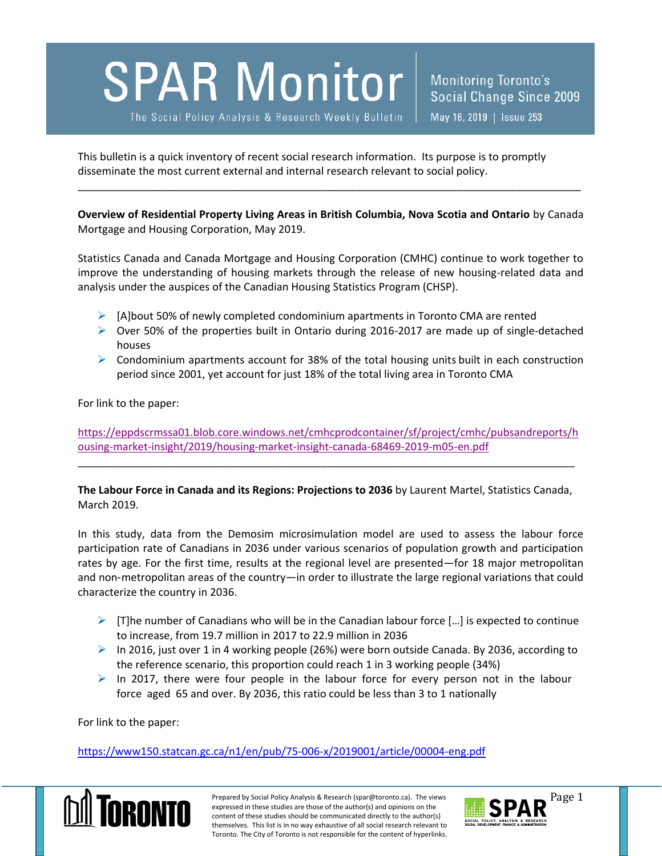## **SPAR Monitor**

The Social Policy Analysis & Research Weekly Bulletin

This bulletin is a quick inventory of recent social research information. Its purpose is to promptly disseminate the most current external and internal research relevant to social policy.

**Overview of Residential Property Living Areas in British Columbia, Nova Scotia and Ontario** by Canada Mortgage and Housing Corporation, May 2019.

\_\_\_\_\_\_\_\_\_\_\_\_\_\_\_\_\_\_\_\_\_\_\_\_\_\_\_\_\_\_\_\_\_\_\_\_\_\_\_\_\_\_\_\_\_\_\_\_\_\_\_\_\_\_\_\_\_\_\_\_\_\_\_\_\_\_\_\_\_\_\_\_\_\_\_\_\_\_\_\_\_\_\_\_\_

Statistics Canada and Canada Mortgage and Housing Corporation (CMHC) continue to work together to improve the understanding of housing markets through the release of new housing-related data and analysis under the auspices of the Canadian Housing Statistics Program (CHSP).

- $\triangleright$  [A]bout 50% of newly completed condominium apartments in Toronto CMA are rented
- $\triangleright$  Over 50% of the properties built in Ontario during 2016-2017 are made up of single-detached houses
- $\triangleright$  Condominium apartments account for 38% of the total housing units built in each construction period since 2001, yet account for just 18% of the total living area in Toronto CMA

For link to the paper:

[https://eppdscrmssa01.blob.core.windows.net/cmhcprodcontainer/sf/project/cmhc/pubsandreports/h](https://eppdscrmssa01.blob.core.windows.net/cmhcprodcontainer/sf/project/cmhc/pubsandreports/housing-market-insight/2019/housing-market-insight-canada-68469-2019-m05-en.pdf) [ousing-market-insight/2019/housing-market-insight-canada-68469-2019-m05-en.pdf](https://eppdscrmssa01.blob.core.windows.net/cmhcprodcontainer/sf/project/cmhc/pubsandreports/housing-market-insight/2019/housing-market-insight-canada-68469-2019-m05-en.pdf)

**The Labour Force in Canada and its Regions: Projections to 2036** by Laurent Martel, Statistics Canada, March 2019.

\_\_\_\_\_\_\_\_\_\_\_\_\_\_\_\_\_\_\_\_\_\_\_\_\_\_\_\_\_\_\_\_\_\_\_\_\_\_\_\_\_\_\_\_\_\_\_\_\_\_\_\_\_\_\_\_\_\_\_\_\_\_\_\_\_\_\_\_\_\_\_\_\_\_\_\_\_\_\_\_\_\_\_\_

In this study, data from the Demosim microsimulation model are used to assess the labour force participation rate of Canadians in 2036 under various scenarios of population growth and participation rates by age. For the first time, results at the regional level are presented—for 18 major metropolitan and non‑metropolitan areas of the country—in order to illustrate the large regional variations that could characterize the country in 2036.

- $\triangleright$  [T]he number of Canadians who will be in the Canadian labour force [...] is expected to continue to increase, from 19.7 million in 2017 to 22.9 million in 2036
- $\triangleright$  In 2016, just over 1 in 4 working people (26%) were born outside Canada. By 2036, according to the reference scenario, this proportion could reach 1 in 3 working people (34%)
- $\triangleright$  In 2017, there were four people in the labour force for every person not in the labour force aged 65 and over. By 2036, this ratio could be less than 3 to 1 nationally

For link to the paper:

<https://www150.statcan.gc.ca/n1/en/pub/75-006-x/2019001/article/00004-eng.pdf>



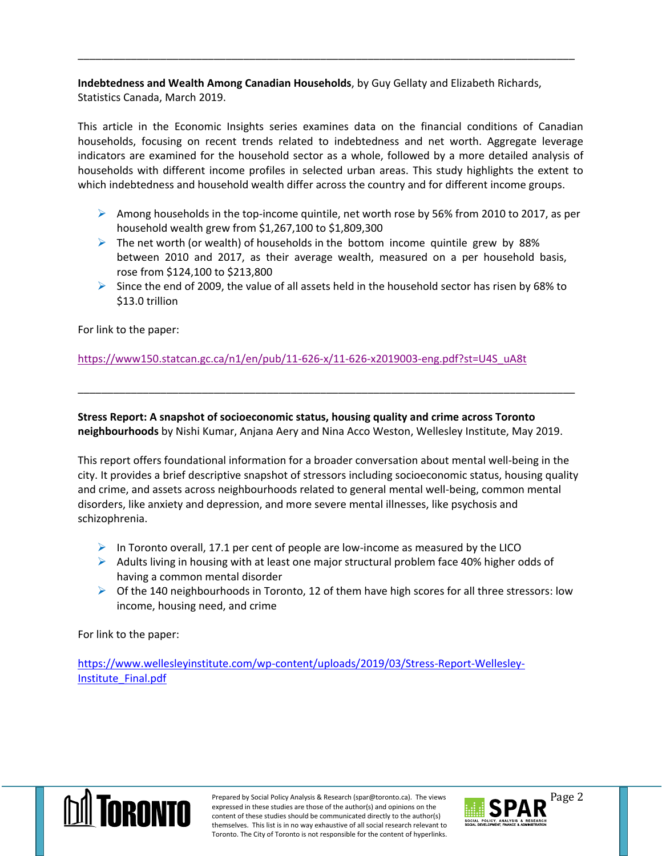**Indebtedness and Wealth Among Canadian Households**, by Guy Gellaty and Elizabeth Richards, Statistics Canada, March 2019.

\_\_\_\_\_\_\_\_\_\_\_\_\_\_\_\_\_\_\_\_\_\_\_\_\_\_\_\_\_\_\_\_\_\_\_\_\_\_\_\_\_\_\_\_\_\_\_\_\_\_\_\_\_\_\_\_\_\_\_\_\_\_\_\_\_\_\_\_\_\_\_\_\_\_\_\_\_\_\_\_\_\_\_\_

This article in the Economic Insights series examines data on the financial conditions of Canadian households, focusing on recent trends related to indebtedness and net worth. Aggregate leverage indicators are examined for the household sector as a whole, followed by a more detailed analysis of households with different income profiles in selected urban areas. This study highlights the extent to which indebtedness and household wealth differ across the country and for different income groups.

- Among households in the top-income quintile, net worth rose by 56% from 2010 to 2017, as per household wealth grew from \$1,267,100 to \$1,809,300
- $\triangleright$  The net worth (or wealth) of households in the bottom income quintile grew by 88% between 2010 and 2017, as their average wealth, measured on a per household basis, rose from \$124,100 to \$213,800
- $\triangleright$  Since the end of 2009, the value of all assets held in the household sector has risen by 68% to \$13.0 trillion

For link to the paper:

[https://www150.statcan.gc.ca/n1/en/pub/11-626-x/11-626-x2019003-eng.pdf?st=U4S\\_uA8t](https://www150.statcan.gc.ca/n1/en/pub/11-626-x/11-626-x2019003-eng.pdf?st=U4S_uA8t)

**Stress Report: A snapshot of socioeconomic status, housing quality and crime across Toronto neighbourhoods** by Nishi Kumar, Anjana Aery and Nina Acco Weston, Wellesley Institute, May 2019.

\_\_\_\_\_\_\_\_\_\_\_\_\_\_\_\_\_\_\_\_\_\_\_\_\_\_\_\_\_\_\_\_\_\_\_\_\_\_\_\_\_\_\_\_\_\_\_\_\_\_\_\_\_\_\_\_\_\_\_\_\_\_\_\_\_\_\_\_\_\_\_\_\_\_\_\_\_\_\_\_\_\_\_\_

This report offers foundational information for a broader conversation about mental well-being in the city. It provides a brief descriptive snapshot of stressors including socioeconomic status, housing quality and crime, and assets across neighbourhoods related to general mental well-being, common mental disorders, like anxiety and depression, and more severe mental illnesses, like psychosis and schizophrenia.

- $\triangleright$  In Toronto overall, 17.1 per cent of people are low-income as measured by the LICO
- $\triangleright$  Adults living in housing with at least one major structural problem face 40% higher odds of having a common mental disorder
- $\triangleright$  Of the 140 neighbourhoods in Toronto, 12 of them have high scores for all three stressors: low income, housing need, and crime

For link to the paper:

[https://www.wellesleyinstitute.com/wp-content/uploads/2019/03/Stress-Report-Wellesley-](https://www.wellesleyinstitute.com/wp-content/uploads/2019/03/Stress-Report-Wellesley-Institute_Final.pdf)[Institute\\_Final.pdf](https://www.wellesleyinstitute.com/wp-content/uploads/2019/03/Stress-Report-Wellesley-Institute_Final.pdf)